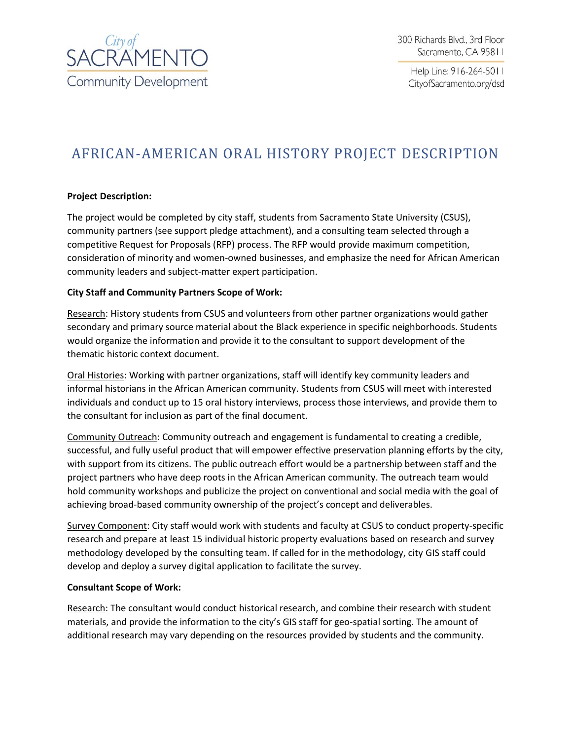

Help Line: 916-264-5011 CityofSacramento.org/dsd

# AFRICAN-AMERICAN ORAL HISTORY PROJECT DESCRIPTION

## **Project Description:**

The project would be completed by city staff, students from Sacramento State University (CSUS), community partners (see support pledge attachment), and a consulting team selected through a competitive Request for Proposals (RFP) process. The RFP would provide maximum competition, consideration of minority and women-owned businesses, and emphasize the need for African American community leaders and subject-matter expert participation.

#### **City Staff and Community Partners Scope of Work:**

Research: History students from CSUS and volunteers from other partner organizations would gather secondary and primary source material about the Black experience in specific neighborhoods. Students would organize the information and provide it to the consultant to support development of the thematic historic context document.

Oral Histories: Working with partner organizations, staff will identify key community leaders and informal historians in the African American community. Students from CSUS will meet with interested individuals and conduct up to 15 oral history interviews, process those interviews, and provide them to the consultant for inclusion as part of the final document.

Community Outreach: Community outreach and engagement is fundamental to creating a credible, successful, and fully useful product that will empower effective preservation planning efforts by the city, with support from its citizens. The public outreach effort would be a partnership between staff and the project partners who have deep roots in the African American community. The outreach team would hold community workshops and publicize the project on conventional and social media with the goal of achieving broad-based community ownership of the project's concept and deliverables.

Survey Component: City staff would work with students and faculty at CSUS to conduct property-specific research and prepare at least 15 individual historic property evaluations based on research and survey methodology developed by the consulting team. If called for in the methodology, city GIS staff could develop and deploy a survey digital application to facilitate the survey.

#### **Consultant Scope of Work:**

Research: The consultant would conduct historical research, and combine their research with student materials, and provide the information to the city's GIS staff for geo-spatial sorting. The amount of additional research may vary depending on the resources provided by students and the community.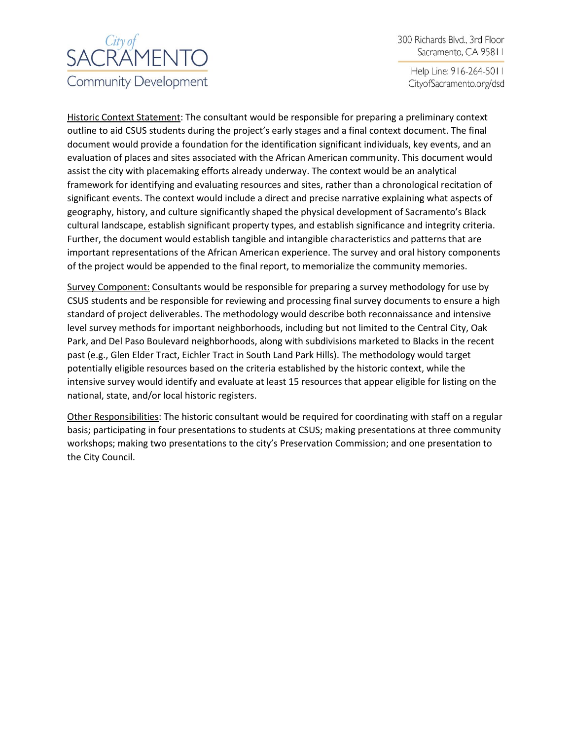# SACRAMENTO **Community Development**

300 Richards Blvd., 3rd Floor Sacramento, CA 95811

Help Line: 916-264-5011 CityofSacramento.org/dsd

Historic Context Statement: The consultant would be responsible for preparing a preliminary context outline to aid CSUS students during the project's early stages and a final context document. The final document would provide a foundation for the identification significant individuals, key events, and an evaluation of places and sites associated with the African American community. This document would assist the city with placemaking efforts already underway. The context would be an analytical framework for identifying and evaluating resources and sites, rather than a chronological recitation of significant events. The context would include a direct and precise narrative explaining what aspects of geography, history, and culture significantly shaped the physical development of Sacramento's Black cultural landscape, establish significant property types, and establish significance and integrity criteria. Further, the document would establish tangible and intangible characteristics and patterns that are important representations of the African American experience. The survey and oral history components of the project would be appended to the final report, to memorialize the community memories.

Survey Component: Consultants would be responsible for preparing a survey methodology for use by CSUS students and be responsible for reviewing and processing final survey documents to ensure a high standard of project deliverables. The methodology would describe both reconnaissance and intensive level survey methods for important neighborhoods, including but not limited to the Central City, Oak Park, and Del Paso Boulevard neighborhoods, along with subdivisions marketed to Blacks in the recent past (e.g., Glen Elder Tract, Eichler Tract in South Land Park Hills). The methodology would target potentially eligible resources based on the criteria established by the historic context, while the intensive survey would identify and evaluate at least 15 resources that appear eligible for listing on the national, state, and/or local historic registers.

Other Responsibilities: The historic consultant would be required for coordinating with staff on a regular basis; participating in four presentations to students at CSUS; making presentations at three community workshops; making two presentations to the city's Preservation Commission; and one presentation to the City Council.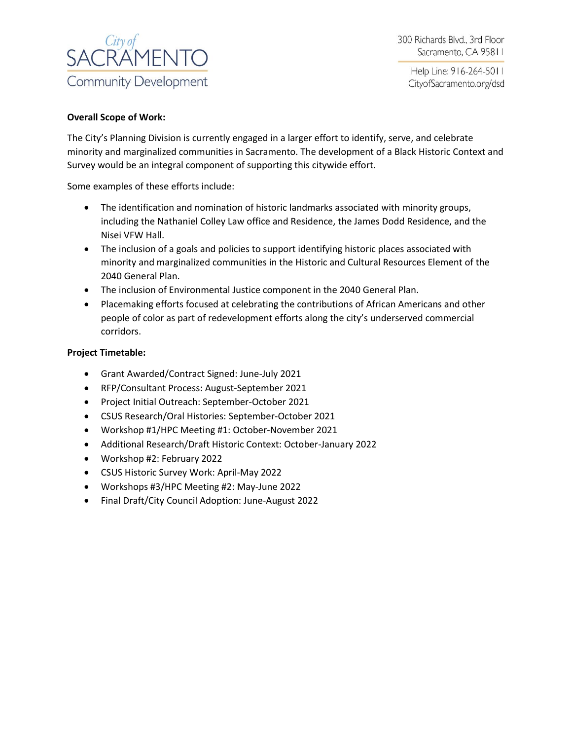

Help Line: 916-264-5011 CityofSacramento.org/dsd

#### **Overall Scope of Work:**

The City's Planning Division is currently engaged in a larger effort to identify, serve, and celebrate minority and marginalized communities in Sacramento. The development of a Black Historic Context and Survey would be an integral component of supporting this citywide effort.

Some examples of these efforts include:

- The identification and nomination of historic landmarks associated with minority groups, including the Nathaniel Colley Law office and Residence, the James Dodd Residence, and the Nisei VFW Hall.
- The inclusion of a goals and policies to support identifying historic places associated with minority and marginalized communities in the Historic and Cultural Resources Element of the 2040 General Plan.
- The inclusion of Environmental Justice component in the 2040 General Plan.
- Placemaking efforts focused at celebrating the contributions of African Americans and other people of color as part of redevelopment efforts along the city's underserved commercial corridors.

#### **Project Timetable:**

- Grant Awarded/Contract Signed: June-July 2021
- RFP/Consultant Process: August-September 2021
- Project Initial Outreach: September-October 2021
- CSUS Research/Oral Histories: September-October 2021
- Workshop #1/HPC Meeting #1: October-November 2021
- Additional Research/Draft Historic Context: October-January 2022
- Workshop #2: February 2022
- CSUS Historic Survey Work: April-May 2022
- Workshops #3/HPC Meeting #2: May-June 2022
- Final Draft/City Council Adoption: June-August 2022